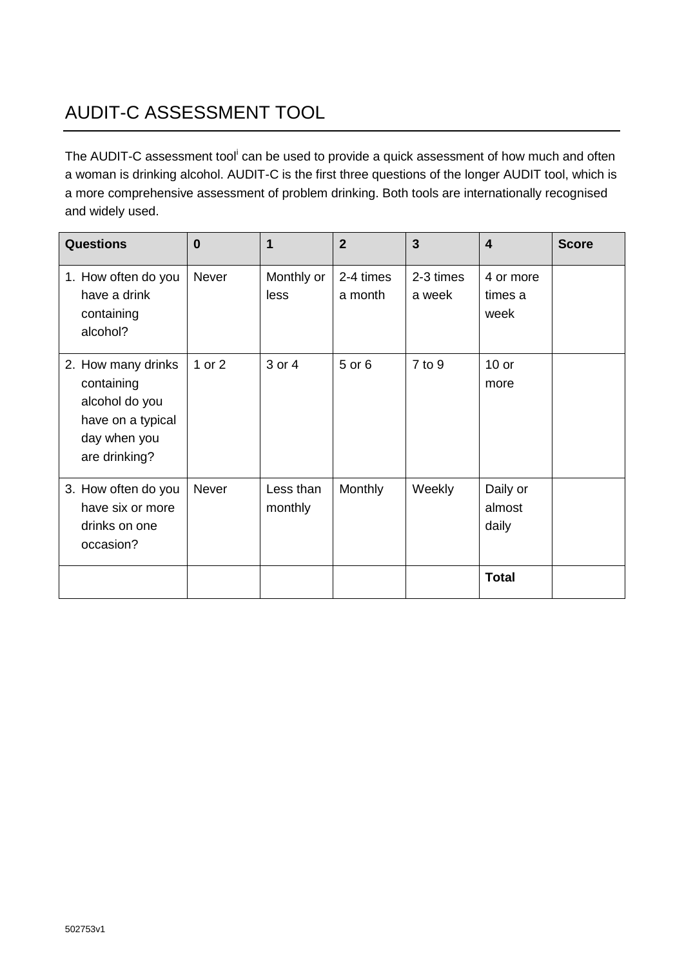## AUDIT-C ASSESSMENT TOOL

The AUDIT-C assessment tool<sup>i</sup> can be used to provide a quick assessment of how much and often a woman is drinking alcohol. AUDIT-C is the first three questions of the longer AUDIT tool, which is a more comprehensive assessment of problem drinking. Both tools are internationally recognised and widely used.

| <b>Questions</b>                                                                                         | $\bf{0}$     | 1                    | $\overline{2}$       | $\mathbf{3}$        | 4                            | <b>Score</b> |
|----------------------------------------------------------------------------------------------------------|--------------|----------------------|----------------------|---------------------|------------------------------|--------------|
| 1. How often do you<br>have a drink<br>containing<br>alcohol?                                            | <b>Never</b> | Monthly or<br>less   | 2-4 times<br>a month | 2-3 times<br>a week | 4 or more<br>times a<br>week |              |
| 2. How many drinks<br>containing<br>alcohol do you<br>have on a typical<br>day when you<br>are drinking? | 1 or $2$     | 3 or 4               | 5 or 6               | $7$ to $9$          | $10$ or<br>more              |              |
| 3. How often do you<br>have six or more<br>drinks on one<br>occasion?                                    | <b>Never</b> | Less than<br>monthly | Monthly              | Weekly              | Daily or<br>almost<br>daily  |              |
|                                                                                                          |              |                      |                      |                     | <b>Total</b>                 |              |